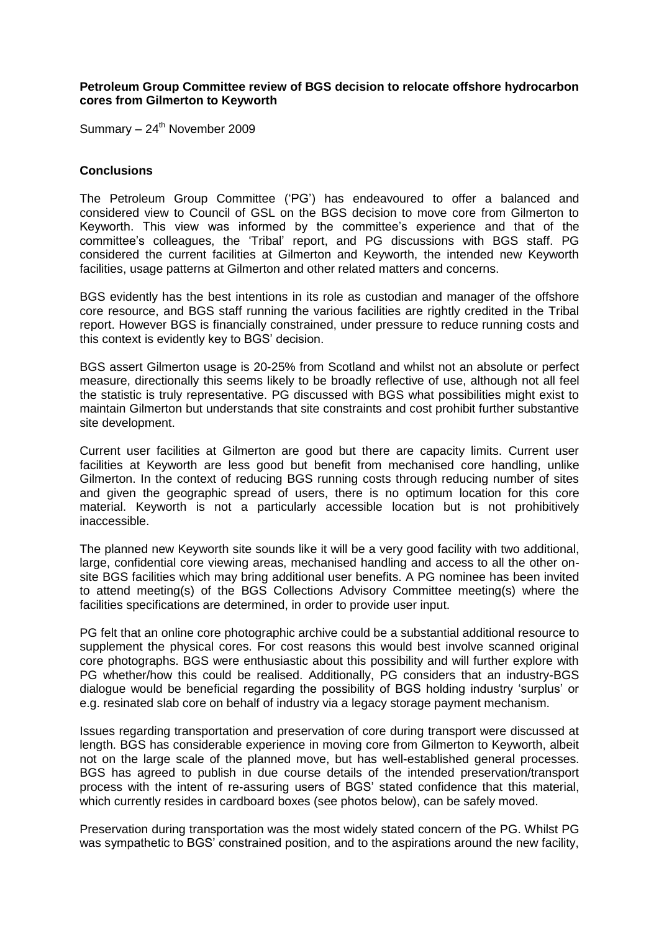## **Petroleum Group Committee review of BGS decision to relocate offshore hydrocarbon cores from Gilmerton to Keyworth**

Summary - 24<sup>th</sup> November 2009

## **Conclusions**

The Petroleum Group Committee ("PG") has endeavoured to offer a balanced and considered view to Council of GSL on the BGS decision to move core from Gilmerton to Keyworth. This view was informed by the committee"s experience and that of the committee"s colleagues, the "Tribal" report, and PG discussions with BGS staff. PG considered the current facilities at Gilmerton and Keyworth, the intended new Keyworth facilities, usage patterns at Gilmerton and other related matters and concerns.

BGS evidently has the best intentions in its role as custodian and manager of the offshore core resource, and BGS staff running the various facilities are rightly credited in the Tribal report. However BGS is financially constrained, under pressure to reduce running costs and this context is evidently key to BGS" decision.

BGS assert Gilmerton usage is 20-25% from Scotland and whilst not an absolute or perfect measure, directionally this seems likely to be broadly reflective of use, although not all feel the statistic is truly representative. PG discussed with BGS what possibilities might exist to maintain Gilmerton but understands that site constraints and cost prohibit further substantive site development.

Current user facilities at Gilmerton are good but there are capacity limits. Current user facilities at Keyworth are less good but benefit from mechanised core handling, unlike Gilmerton. In the context of reducing BGS running costs through reducing number of sites and given the geographic spread of users, there is no optimum location for this core material. Keyworth is not a particularly accessible location but is not prohibitively inaccessible.

The planned new Keyworth site sounds like it will be a very good facility with two additional, large, confidential core viewing areas, mechanised handling and access to all the other onsite BGS facilities which may bring additional user benefits. A PG nominee has been invited to attend meeting(s) of the BGS Collections Advisory Committee meeting(s) where the facilities specifications are determined, in order to provide user input.

PG felt that an online core photographic archive could be a substantial additional resource to supplement the physical cores. For cost reasons this would best involve scanned original core photographs. BGS were enthusiastic about this possibility and will further explore with PG whether/how this could be realised. Additionally, PG considers that an industry-BGS dialogue would be beneficial regarding the possibility of BGS holding industry "surplus" or e.g. resinated slab core on behalf of industry via a legacy storage payment mechanism.

Issues regarding transportation and preservation of core during transport were discussed at length. BGS has considerable experience in moving core from Gilmerton to Keyworth, albeit not on the large scale of the planned move, but has well-established general processes. BGS has agreed to publish in due course details of the intended preservation/transport process with the intent of re-assuring users of BGS" stated confidence that this material, which currently resides in cardboard boxes (see photos below), can be safely moved.

Preservation during transportation was the most widely stated concern of the PG. Whilst PG was sympathetic to BGS' constrained position, and to the aspirations around the new facility,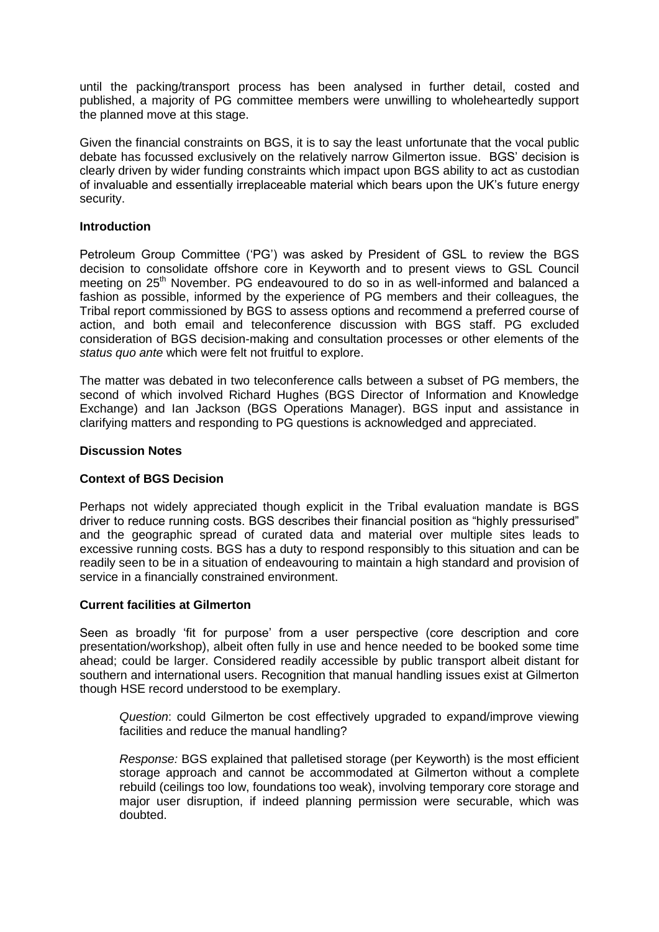until the packing/transport process has been analysed in further detail, costed and published, a majority of PG committee members were unwilling to wholeheartedly support the planned move at this stage.

Given the financial constraints on BGS, it is to say the least unfortunate that the vocal public debate has focussed exclusively on the relatively narrow Gilmerton issue. BGS" decision is clearly driven by wider funding constraints which impact upon BGS ability to act as custodian of invaluable and essentially irreplaceable material which bears upon the UK"s future energy security.

# **Introduction**

Petroleum Group Committee ("PG") was asked by President of GSL to review the BGS decision to consolidate offshore core in Keyworth and to present views to GSL Council meeting on 25<sup>th</sup> November. PG endeavoured to do so in as well-informed and balanced a fashion as possible, informed by the experience of PG members and their colleagues, the Tribal report commissioned by BGS to assess options and recommend a preferred course of action, and both email and teleconference discussion with BGS staff. PG excluded consideration of BGS decision-making and consultation processes or other elements of the *status quo ante* which were felt not fruitful to explore.

The matter was debated in two teleconference calls between a subset of PG members, the second of which involved Richard Hughes (BGS Director of Information and Knowledge Exchange) and Ian Jackson (BGS Operations Manager). BGS input and assistance in clarifying matters and responding to PG questions is acknowledged and appreciated.

# **Discussion Notes**

# **Context of BGS Decision**

Perhaps not widely appreciated though explicit in the Tribal evaluation mandate is BGS driver to reduce running costs. BGS describes their financial position as "highly pressurised" and the geographic spread of curated data and material over multiple sites leads to excessive running costs. BGS has a duty to respond responsibly to this situation and can be readily seen to be in a situation of endeavouring to maintain a high standard and provision of service in a financially constrained environment.

## **Current facilities at Gilmerton**

Seen as broadly "fit for purpose" from a user perspective (core description and core presentation/workshop), albeit often fully in use and hence needed to be booked some time ahead; could be larger. Considered readily accessible by public transport albeit distant for southern and international users. Recognition that manual handling issues exist at Gilmerton though HSE record understood to be exemplary.

*Question*: could Gilmerton be cost effectively upgraded to expand/improve viewing facilities and reduce the manual handling?

*Response:* BGS explained that palletised storage (per Keyworth) is the most efficient storage approach and cannot be accommodated at Gilmerton without a complete rebuild (ceilings too low, foundations too weak), involving temporary core storage and major user disruption, if indeed planning permission were securable, which was doubted.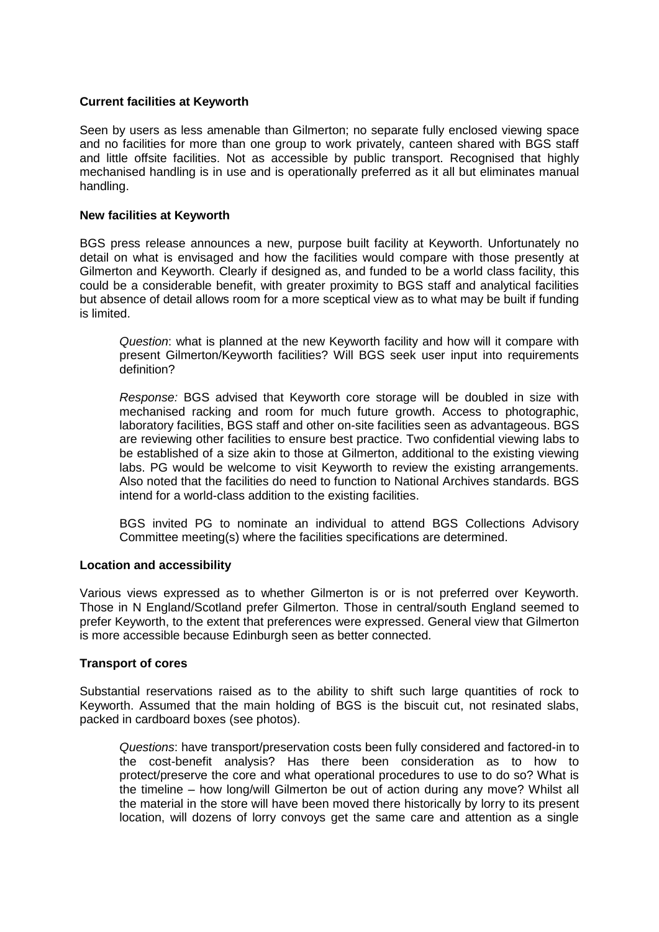# **Current facilities at Keyworth**

Seen by users as less amenable than Gilmerton; no separate fully enclosed viewing space and no facilities for more than one group to work privately, canteen shared with BGS staff and little offsite facilities. Not as accessible by public transport. Recognised that highly mechanised handling is in use and is operationally preferred as it all but eliminates manual handling.

# **New facilities at Keyworth**

BGS press release announces a new, purpose built facility at Keyworth. Unfortunately no detail on what is envisaged and how the facilities would compare with those presently at Gilmerton and Keyworth. Clearly if designed as, and funded to be a world class facility, this could be a considerable benefit, with greater proximity to BGS staff and analytical facilities but absence of detail allows room for a more sceptical view as to what may be built if funding is limited.

*Question*: what is planned at the new Keyworth facility and how will it compare with present Gilmerton/Keyworth facilities? Will BGS seek user input into requirements definition?

*Response:* BGS advised that Keyworth core storage will be doubled in size with mechanised racking and room for much future growth. Access to photographic, laboratory facilities, BGS staff and other on-site facilities seen as advantageous. BGS are reviewing other facilities to ensure best practice. Two confidential viewing labs to be established of a size akin to those at Gilmerton, additional to the existing viewing labs. PG would be welcome to visit Keyworth to review the existing arrangements. Also noted that the facilities do need to function to National Archives standards. BGS intend for a world-class addition to the existing facilities.

BGS invited PG to nominate an individual to attend BGS Collections Advisory Committee meeting(s) where the facilities specifications are determined.

## **Location and accessibility**

Various views expressed as to whether Gilmerton is or is not preferred over Keyworth. Those in N England/Scotland prefer Gilmerton. Those in central/south England seemed to prefer Keyworth, to the extent that preferences were expressed. General view that Gilmerton is more accessible because Edinburgh seen as better connected.

## **Transport of cores**

Substantial reservations raised as to the ability to shift such large quantities of rock to Keyworth. Assumed that the main holding of BGS is the biscuit cut, not resinated slabs, packed in cardboard boxes (see photos).

*Questions*: have transport/preservation costs been fully considered and factored-in to the cost-benefit analysis? Has there been consideration as to how to protect/preserve the core and what operational procedures to use to do so? What is the timeline – how long/will Gilmerton be out of action during any move? Whilst all the material in the store will have been moved there historically by lorry to its present location, will dozens of lorry convoys get the same care and attention as a single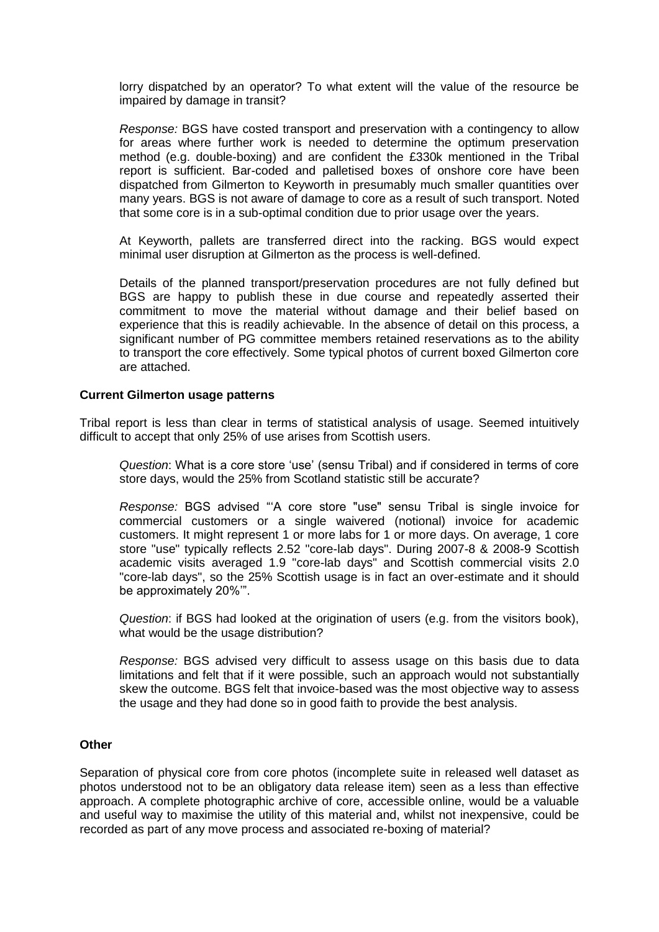lorry dispatched by an operator? To what extent will the value of the resource be impaired by damage in transit?

*Response:* BGS have costed transport and preservation with a contingency to allow for areas where further work is needed to determine the optimum preservation method (e.g. double-boxing) and are confident the £330k mentioned in the Tribal report is sufficient. Bar-coded and palletised boxes of onshore core have been dispatched from Gilmerton to Keyworth in presumably much smaller quantities over many years. BGS is not aware of damage to core as a result of such transport. Noted that some core is in a sub-optimal condition due to prior usage over the years.

At Keyworth, pallets are transferred direct into the racking. BGS would expect minimal user disruption at Gilmerton as the process is well-defined.

Details of the planned transport/preservation procedures are not fully defined but BGS are happy to publish these in due course and repeatedly asserted their commitment to move the material without damage and their belief based on experience that this is readily achievable. In the absence of detail on this process, a significant number of PG committee members retained reservations as to the ability to transport the core effectively. Some typical photos of current boxed Gilmerton core are attached.

#### **Current Gilmerton usage patterns**

Tribal report is less than clear in terms of statistical analysis of usage. Seemed intuitively difficult to accept that only 25% of use arises from Scottish users.

*Question*: What is a core store "use" (sensu Tribal) and if considered in terms of core store days, would the 25% from Scotland statistic still be accurate?

*Response:* BGS advised ""A core store "use" sensu Tribal is single invoice for commercial customers or a single waivered (notional) invoice for academic customers. It might represent 1 or more labs for 1 or more days. On average, 1 core store "use" typically reflects 2.52 "core-lab days". During 2007-8 & 2008-9 Scottish academic visits averaged 1.9 "core-lab days" and Scottish commercial visits 2.0 "core-lab days", so the 25% Scottish usage is in fact an over-estimate and it should be approximately 20%"".

*Question*: if BGS had looked at the origination of users (e.g. from the visitors book), what would be the usage distribution?

*Response:* BGS advised very difficult to assess usage on this basis due to data limitations and felt that if it were possible, such an approach would not substantially skew the outcome. BGS felt that invoice-based was the most objective way to assess the usage and they had done so in good faith to provide the best analysis.

#### **Other**

Separation of physical core from core photos (incomplete suite in released well dataset as photos understood not to be an obligatory data release item) seen as a less than effective approach. A complete photographic archive of core, accessible online, would be a valuable and useful way to maximise the utility of this material and, whilst not inexpensive, could be recorded as part of any move process and associated re-boxing of material?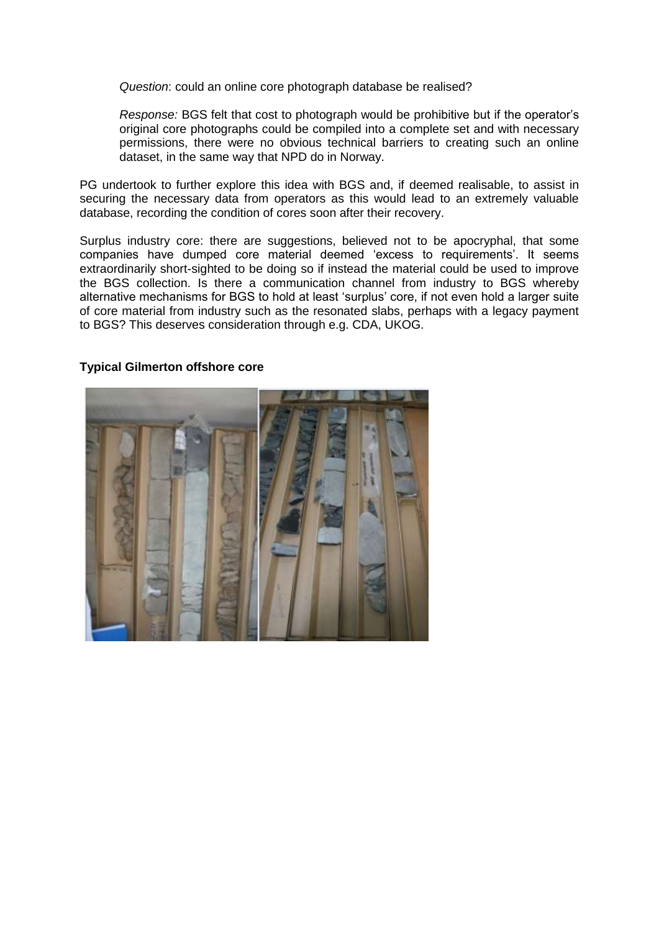*Question*: could an online core photograph database be realised?

*Response:* BGS felt that cost to photograph would be prohibitive but if the operator"s original core photographs could be compiled into a complete set and with necessary permissions, there were no obvious technical barriers to creating such an online dataset, in the same way that NPD do in Norway.

PG undertook to further explore this idea with BGS and, if deemed realisable, to assist in securing the necessary data from operators as this would lead to an extremely valuable database, recording the condition of cores soon after their recovery.

Surplus industry core: there are suggestions, believed not to be apocryphal, that some companies have dumped core material deemed 'excess to requirements'. It seems extraordinarily short-sighted to be doing so if instead the material could be used to improve the BGS collection. Is there a communication channel from industry to BGS whereby alternative mechanisms for BGS to hold at least "surplus" core, if not even hold a larger suite of core material from industry such as the resonated slabs, perhaps with a legacy payment to BGS? This deserves consideration through e.g. CDA, UKOG.

# **Typical Gilmerton offshore core**